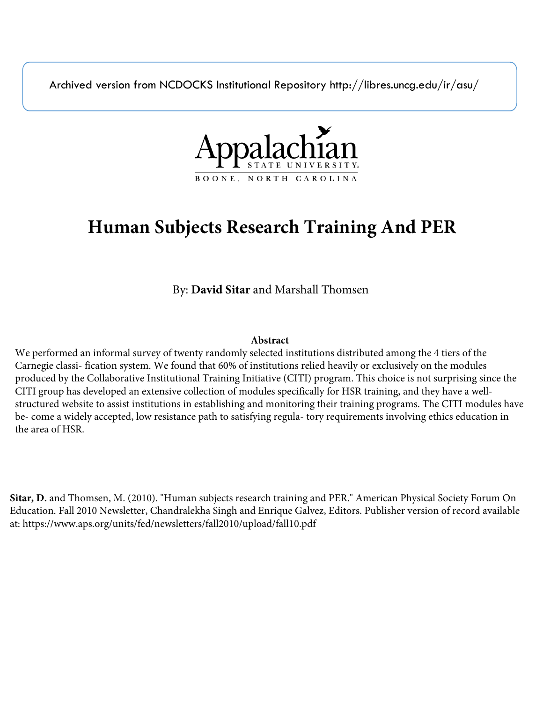Archived version from NCDOCKS Institutional Repository http://libres.uncg.edu/ir/asu/



## **Human Subjects Research Training And PER**

By: **David Sitar** and Marshall Thomsen

#### **Abstract**

We performed an informal survey of twenty randomly selected institutions distributed among the 4 tiers of the Carnegie classi- fication system. We found that 60% of institutions relied heavily or exclusively on the modules produced by the Collaborative Institutional Training Initiative (CITI) program. This choice is not surprising since the CITI group has developed an extensive collection of modules specifically for HSR training, and they have a wellstructured website to assist institutions in establishing and monitoring their training programs. The CITI modules have be- come a widely accepted, low resistance path to satisfying regula- tory requirements involving ethics education in the area of HSR.

**Sitar, D.** and Thomsen, M. (2010). "Human subjects research training and PER." American Physical Society Forum On Education. Fall 2010 Newsletter, Chandralekha Singh and Enrique Galvez, Editors. Publisher version of record available at: https://www.aps.org/units/fed/newsletters/fall2010/upload/fall10.pdf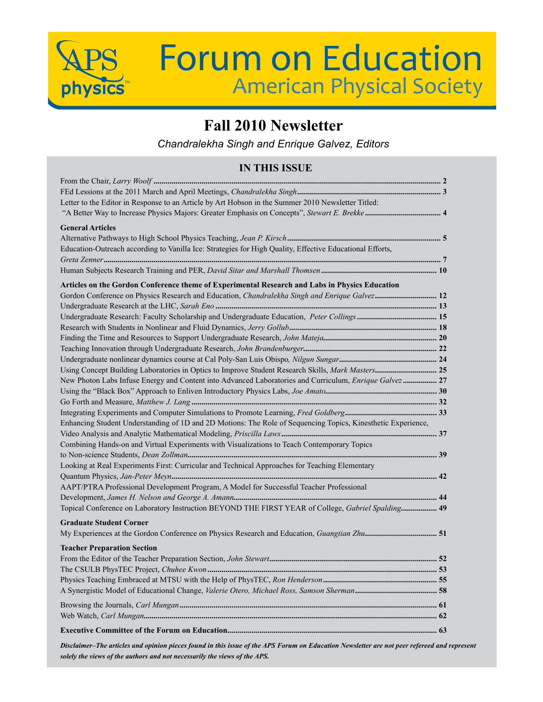

# **APS** Forum on Education **American Physical Society**

### **Fall 2010 Newsletter**

*Chandralekha Singh and Enrique Galvez, Editors*

#### **IN THIS ISSUE**

| Letter to the Editor in Response to an Article by Art Hobson in the Summer 2010 Newsletter Titled:           |  |
|--------------------------------------------------------------------------------------------------------------|--|
|                                                                                                              |  |
| <b>General Articles</b>                                                                                      |  |
|                                                                                                              |  |
|                                                                                                              |  |
| Education-Outreach according to Vanilla Ice: Strategies for High Quality, Effective Educational Efforts,     |  |
|                                                                                                              |  |
|                                                                                                              |  |
| Articles on the Gordon Conference theme of Experimental Research and Labs in Physics Education               |  |
| Gordon Conference on Physics Research and Education, Chandralekha Singh and Enrique Galvez 12                |  |
|                                                                                                              |  |
|                                                                                                              |  |
|                                                                                                              |  |
|                                                                                                              |  |
|                                                                                                              |  |
|                                                                                                              |  |
| Using Concept Building Laboratories in Optics to Improve Student Research Skills, Mark Masters 25            |  |
| New Photon Labs Infuse Energy and Content into Advanced Laboratories and Curriculum, Enrique Galvez  27      |  |
|                                                                                                              |  |
|                                                                                                              |  |
|                                                                                                              |  |
| Enhancing Student Understanding of 1D and 2D Motions: The Role of Sequencing Topics, Kinesthetic Experience, |  |
|                                                                                                              |  |
| Combining Hands-on and Virtual Experiments with Visualizations to Teach Contemporary Topics                  |  |
|                                                                                                              |  |
| Looking at Real Experiments First: Curricular and Technical Approaches for Teaching Elementary               |  |
|                                                                                                              |  |
| AAPT/PTRA Professional Development Program, A Model for Successful Teacher Professional                      |  |
|                                                                                                              |  |
| Topical Conference on Laboratory Instruction BEYOND THE FIRST YEAR of College, Gabriel Spalding 49           |  |
| <b>Graduate Student Corner</b>                                                                               |  |
|                                                                                                              |  |
|                                                                                                              |  |
| <b>Teacher Preparation Section</b>                                                                           |  |
|                                                                                                              |  |
|                                                                                                              |  |
|                                                                                                              |  |
|                                                                                                              |  |
|                                                                                                              |  |
|                                                                                                              |  |
|                                                                                                              |  |
|                                                                                                              |  |

*Disclaimer–The articles and opinion pieces found in this issue of the APS Forum on Education Newsletter are not peer refereed and represent solely the views of the authors and not necessarily the views of the APS.*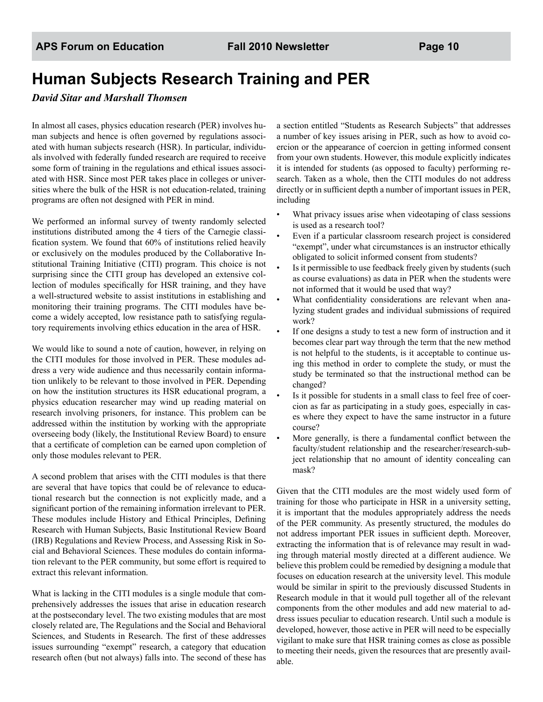## **Human Subjects Research Training and PER**

#### *David Sitar and Marshall Thomsen*

In almost all cases, physics education research (PER) involves human subjects and hence is often governed by regulations associated with human subjects research (HSR). In particular, individuals involved with federally funded research are required to receive some form of training in the regulations and ethical issues associated with HSR. Since most PER takes place in colleges or universities where the bulk of the HSR is not education-related, training programs are often not designed with PER in mind.

We performed an informal survey of twenty randomly selected institutions distributed among the 4 tiers of the Carnegie classification system. We found that 60% of institutions relied heavily or exclusively on the modules produced by the Collaborative Institutional Training Initiative (CITI) program. This choice is not surprising since the CITI group has developed an extensive collection of modules specifically for HSR training, and they have a well-structured website to assist institutions in establishing and monitoring their training programs. The CITI modules have become a widely accepted, low resistance path to satisfying regulatory requirements involving ethics education in the area of HSR.

We would like to sound a note of caution, however, in relying on the CITI modules for those involved in PER. These modules address a very wide audience and thus necessarily contain information unlikely to be relevant to those involved in PER. Depending on how the institution structures its HSR educational program, a physics education researcher may wind up reading material on research involving prisoners, for instance. This problem can be addressed within the institution by working with the appropriate overseeing body (likely, the Institutional Review Board) to ensure that a certificate of completion can be earned upon completion of only those modules relevant to PER.

A second problem that arises with the CITI modules is that there are several that have topics that could be of relevance to educational research but the connection is not explicitly made, and a significant portion of the remaining information irrelevant to PER. These modules include History and Ethical Principles, Defining Research with Human Subjects, Basic Institutional Review Board (IRB) Regulations and Review Process, and Assessing Risk in Social and Behavioral Sciences. These modules do contain information relevant to the PER community, but some effort is required to extract this relevant information.

What is lacking in the CITI modules is a single module that comprehensively addresses the issues that arise in education research at the postsecondary level. The two existing modules that are most closely related are, The Regulations and the Social and Behavioral Sciences, and Students in Research. The first of these addresses issues surrounding "exempt" research, a category that education research often (but not always) falls into. The second of these has

a section entitled "Students as Research Subjects" that addresses a number of key issues arising in PER, such as how to avoid coercion or the appearance of coercion in getting informed consent from your own students. However, this module explicitly indicates it is intended for students (as opposed to faculty) performing research. Taken as a whole, then the CITI modules do not address directly or in sufficient depth a number of important issues in PER, including

- What privacy issues arise when videotaping of class sessions is used as a research tool?
- Even if a particular classroom research project is considered "exempt", under what circumstances is an instructor ethically obligated to solicit informed consent from students?
- Is it permissible to use feedback freely given by students (such as course evaluations) as data in PER when the students were not informed that it would be used that way?
- What confidentiality considerations are relevant when analyzing student grades and individual submissions of required work?
- If one designs a study to test a new form of instruction and it becomes clear part way through the term that the new method is not helpful to the students, is it acceptable to continue using this method in order to complete the study, or must the study be terminated so that the instructional method can be changed?
- Is it possible for students in a small class to feel free of coercion as far as participating in a study goes, especially in cases where they expect to have the same instructor in a future course?
- More generally, is there a fundamental conflict between the faculty/student relationship and the researcher/research-subject relationship that no amount of identity concealing can mask?

Given that the CITI modules are the most widely used form of training for those who participate in HSR in a university setting, it is important that the modules appropriately address the needs of the PER community. As presently structured, the modules do not address important PER issues in sufficient depth. Moreover, extracting the information that is of relevance may result in wading through material mostly directed at a different audience. We believe this problem could be remedied by designing a module that focuses on education research at the university level. This module would be similar in spirit to the previously discussed Students in Research module in that it would pull together all of the relevant components from the other modules and add new material to address issues peculiar to education research. Until such a module is developed, however, those active in PER will need to be especially vigilant to make sure that HSR training comes as close as possible to meeting their needs, given the resources that are presently available.